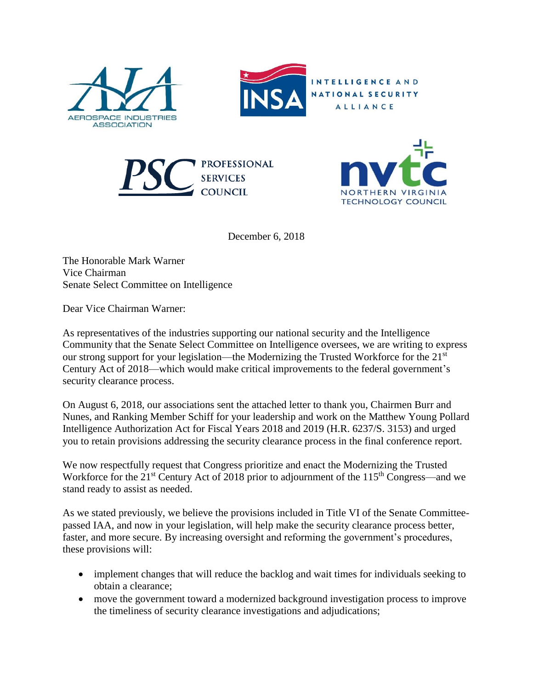



INTELLIGENCE AND NATIONAL SECURITY ALLIANCE





December 6, 2018

The Honorable Mark Warner Vice Chairman Senate Select Committee on Intelligence

Dear Vice Chairman Warner:

As representatives of the industries supporting our national security and the Intelligence Community that the Senate Select Committee on Intelligence oversees, we are writing to express our strong support for your legislation—the Modernizing the Trusted Workforce for the 21<sup>st</sup> Century Act of 2018—which would make critical improvements to the federal government's security clearance process.

On August 6, 2018, our associations sent the attached letter to thank you, Chairmen Burr and Nunes, and Ranking Member Schiff for your leadership and work on the Matthew Young Pollard Intelligence Authorization Act for Fiscal Years 2018 and 2019 (H.R. 6237/S. 3153) and urged you to retain provisions addressing the security clearance process in the final conference report.

We now respectfully request that Congress prioritize and enact the Modernizing the Trusted Workforce for the  $21^{st}$  Century Act of 2018 prior to adjournment of the  $115^{th}$  Congress—and we stand ready to assist as needed.

As we stated previously, we believe the provisions included in Title VI of the Senate Committeepassed IAA, and now in your legislation, will help make the security clearance process better, faster, and more secure. By increasing oversight and reforming the government's procedures, these provisions will:

- implement changes that will reduce the backlog and wait times for individuals seeking to obtain a clearance;
- move the government toward a modernized background investigation process to improve the timeliness of security clearance investigations and adjudications;